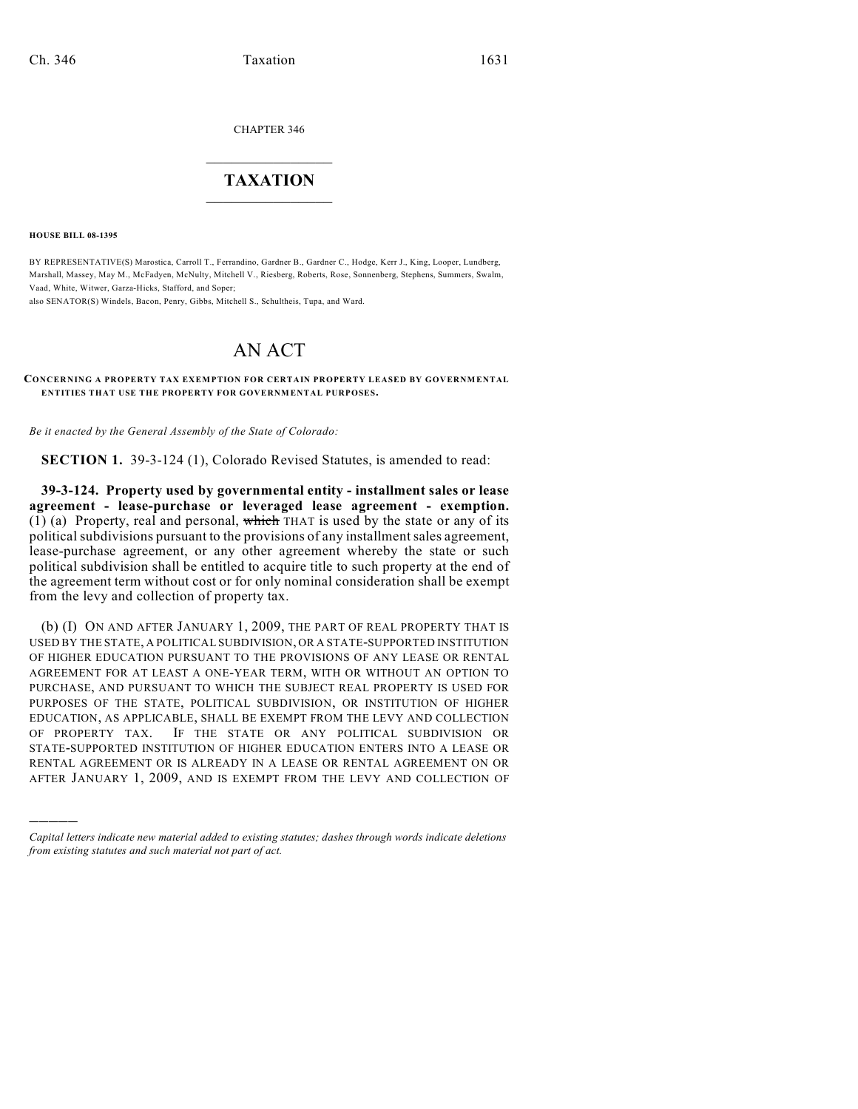CHAPTER 346

## $\overline{\phantom{a}}$  . The set of the set of the set of the set of the set of the set of the set of the set of the set of the set of the set of the set of the set of the set of the set of the set of the set of the set of the set o **TAXATION**  $\_$

**HOUSE BILL 08-1395**

)))))

BY REPRESENTATIVE(S) Marostica, Carroll T., Ferrandino, Gardner B., Gardner C., Hodge, Kerr J., King, Looper, Lundberg, Marshall, Massey, May M., McFadyen, McNulty, Mitchell V., Riesberg, Roberts, Rose, Sonnenberg, Stephens, Summers, Swalm, Vaad, White, Witwer, Garza-Hicks, Stafford, and Soper;

also SENATOR(S) Windels, Bacon, Penry, Gibbs, Mitchell S., Schultheis, Tupa, and Ward.

## AN ACT

## **CONCERNING A PROPERTY TAX EXEMPTION FOR CERTAIN PROPERTY LEASED BY GOVERNMENTAL ENTITIES THAT USE THE PROPERTY FOR GOVERNMENTAL PURPOSES.**

*Be it enacted by the General Assembly of the State of Colorado:*

**SECTION 1.** 39-3-124 (1), Colorado Revised Statutes, is amended to read:

**39-3-124. Property used by governmental entity - installment sales or lease agreement - lease-purchase or leveraged lease agreement - exemption.** (1) (a) Property, real and personal, which THAT is used by the state or any of its political subdivisions pursuant to the provisions of any installment sales agreement, lease-purchase agreement, or any other agreement whereby the state or such political subdivision shall be entitled to acquire title to such property at the end of the agreement term without cost or for only nominal consideration shall be exempt from the levy and collection of property tax.

(b) (I) ON AND AFTER JANUARY 1, 2009, THE PART OF REAL PROPERTY THAT IS USED BY THE STATE, A POLITICAL SUBDIVISION, OR A STATE-SUPPORTED INSTITUTION OF HIGHER EDUCATION PURSUANT TO THE PROVISIONS OF ANY LEASE OR RENTAL AGREEMENT FOR AT LEAST A ONE-YEAR TERM, WITH OR WITHOUT AN OPTION TO PURCHASE, AND PURSUANT TO WHICH THE SUBJECT REAL PROPERTY IS USED FOR PURPOSES OF THE STATE, POLITICAL SUBDIVISION, OR INSTITUTION OF HIGHER EDUCATION, AS APPLICABLE, SHALL BE EXEMPT FROM THE LEVY AND COLLECTION OF PROPERTY TAX. IF THE STATE OR ANY POLITICAL SUBDIVISION OR STATE-SUPPORTED INSTITUTION OF HIGHER EDUCATION ENTERS INTO A LEASE OR RENTAL AGREEMENT OR IS ALREADY IN A LEASE OR RENTAL AGREEMENT ON OR AFTER JANUARY 1, 2009, AND IS EXEMPT FROM THE LEVY AND COLLECTION OF

*Capital letters indicate new material added to existing statutes; dashes through words indicate deletions from existing statutes and such material not part of act.*